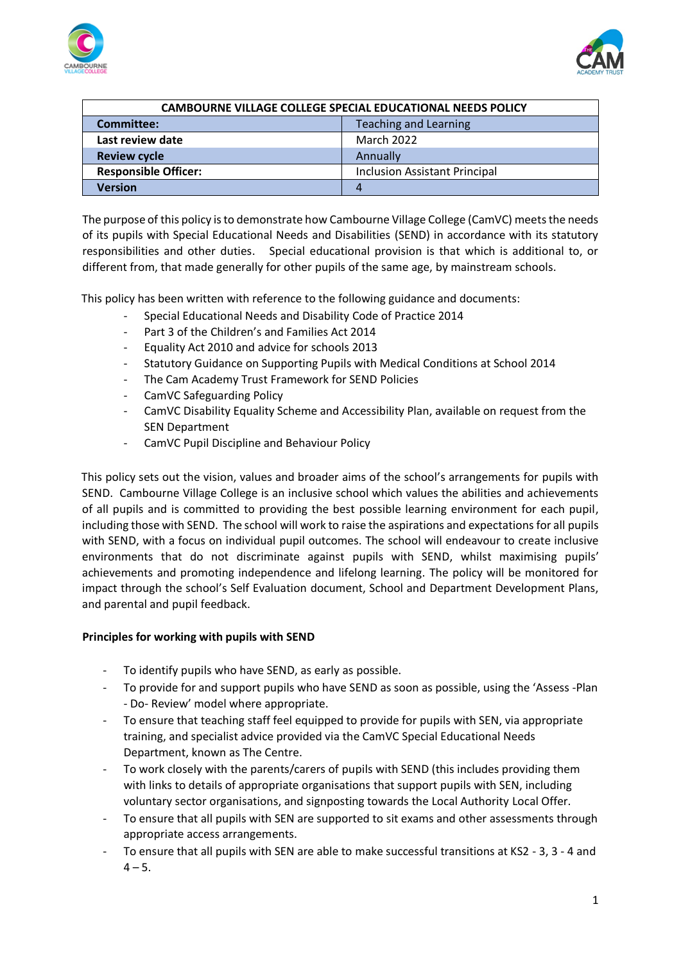



| <b>CAMBOURNE VILLAGE COLLEGE SPECIAL EDUCATIONAL NEEDS POLICY</b> |                                      |
|-------------------------------------------------------------------|--------------------------------------|
| <b>Committee:</b>                                                 | <b>Teaching and Learning</b>         |
| Last review date                                                  | <b>March 2022</b>                    |
| <b>Review cycle</b>                                               | Annually                             |
| <b>Responsible Officer:</b>                                       | <b>Inclusion Assistant Principal</b> |
| Version                                                           | 4                                    |

The purpose of this policy is to demonstrate how Cambourne Village College (CamVC) meets the needs of its pupils with Special Educational Needs and Disabilities (SEND) in accordance with its statutory responsibilities and other duties. Special educational provision is that which is additional to, or different from, that made generally for other pupils of the same age, by mainstream schools.

This policy has been written with reference to the following guidance and documents:

- Special Educational Needs and Disability Code of Practice 2014
- Part 3 of the Children's and Families Act 2014
- Equality Act 2010 and advice for schools 2013
- Statutory Guidance on Supporting Pupils with Medical Conditions at School 2014
- The Cam Academy Trust Framework for SEND Policies
- CamVC Safeguarding Policy
- CamVC Disability Equality Scheme and Accessibility Plan, available on request from the SEN Department
- CamVC Pupil Discipline and Behaviour Policy

This policy sets out the vision, values and broader aims of the school's arrangements for pupils with SEND. Cambourne Village College is an inclusive school which values the abilities and achievements of all pupils and is committed to providing the best possible learning environment for each pupil, including those with SEND. The school will work to raise the aspirations and expectations for all pupils with SEND, with a focus on individual pupil outcomes. The school will endeavour to create inclusive environments that do not discriminate against pupils with SEND, whilst maximising pupils' achievements and promoting independence and lifelong learning. The policy will be monitored for impact through the school's Self Evaluation document, School and Department Development Plans, and parental and pupil feedback.

#### **Principles for working with pupils with SEND**

- To identify pupils who have SEND, as early as possible.
- To provide for and support pupils who have SEND as soon as possible, using the 'Assess -Plan - Do- Review' model where appropriate.
- To ensure that teaching staff feel equipped to provide for pupils with SEN, via appropriate training, and specialist advice provided via the CamVC Special Educational Needs Department, known as The Centre.
- To work closely with the parents/carers of pupils with SEND (this includes providing them with links to details of appropriate organisations that support pupils with SEN, including voluntary sector organisations, and signposting towards the Local Authority Local Offer.
- To ensure that all pupils with SEN are supported to sit exams and other assessments through appropriate access arrangements.
- To ensure that all pupils with SEN are able to make successful transitions at KS2 3, 3 4 and  $4 - 5.$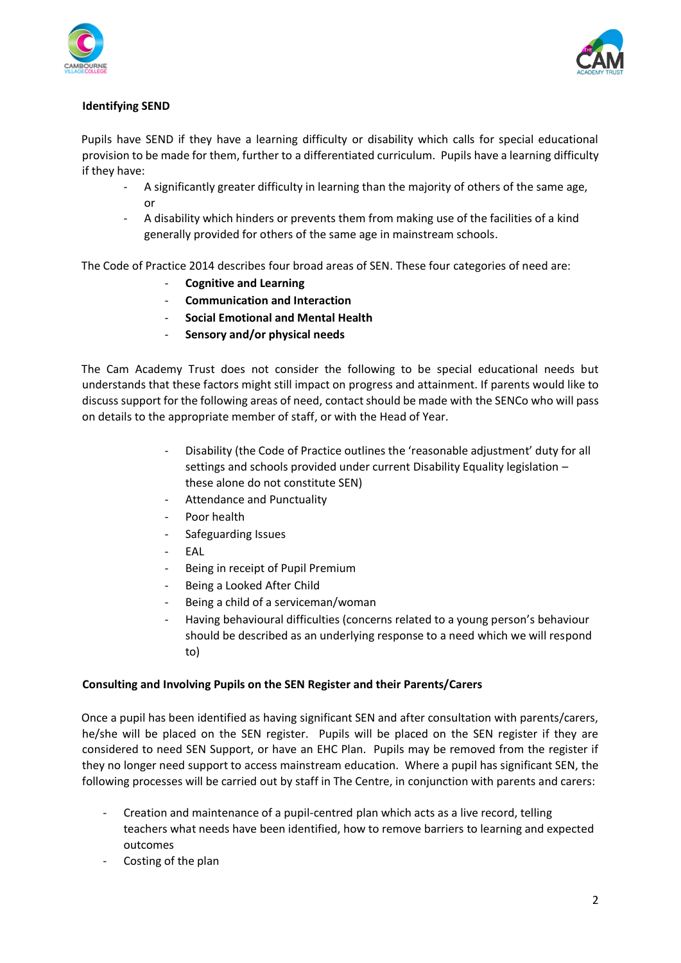



### **Identifying SEND**

Pupils have SEND if they have a learning difficulty or disability which calls for special educational provision to be made for them, further to a differentiated curriculum. Pupils have a learning difficulty if they have:

- A significantly greater difficulty in learning than the majority of others of the same age, or
- A disability which hinders or prevents them from making use of the facilities of a kind generally provided for others of the same age in mainstream schools.

The Code of Practice 2014 describes four broad areas of SEN. These four categories of need are:

- **Cognitive and Learning**
- **Communication and Interaction**
- **Social Emotional and Mental Health**
- **Sensory and/or physical needs**

The Cam Academy Trust does not consider the following to be special educational needs but understands that these factors might still impact on progress and attainment. If parents would like to discuss support for the following areas of need, contact should be made with the SENCo who will pass on details to the appropriate member of staff, or with the Head of Year.

- Disability (the Code of Practice outlines the 'reasonable adjustment' duty for all settings and schools provided under current Disability Equality legislation – these alone do not constitute SEN)
- Attendance and Punctuality
- Poor health
- Safeguarding Issues
- EAL
- Being in receipt of Pupil Premium
- Being a Looked After Child
- Being a child of a serviceman/woman
- Having behavioural difficulties (concerns related to a young person's behaviour should be described as an underlying response to a need which we will respond to)

#### **Consulting and Involving Pupils on the SEN Register and their Parents/Carers**

Once a pupil has been identified as having significant SEN and after consultation with parents/carers, he/she will be placed on the SEN register. Pupils will be placed on the SEN register if they are considered to need SEN Support, or have an EHC Plan. Pupils may be removed from the register if they no longer need support to access mainstream education. Where a pupil has significant SEN, the following processes will be carried out by staff in The Centre, in conjunction with parents and carers:

- Creation and maintenance of a pupil-centred plan which acts as a live record, telling teachers what needs have been identified, how to remove barriers to learning and expected outcomes
- Costing of the plan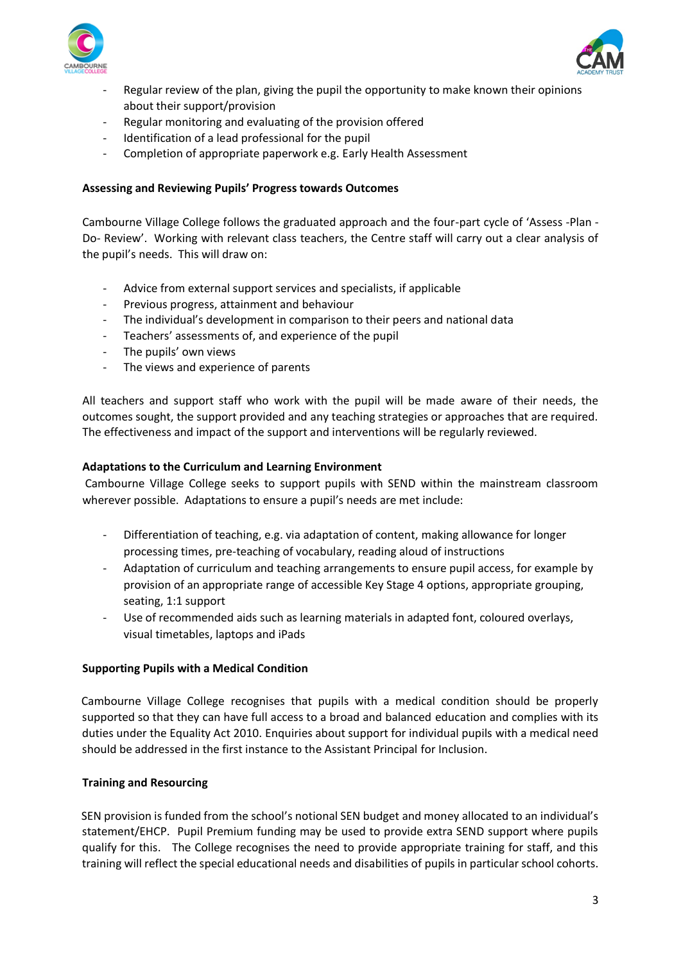



- Regular review of the plan, giving the pupil the opportunity to make known their opinions about their support/provision
- Regular monitoring and evaluating of the provision offered
- Identification of a lead professional for the pupil
- Completion of appropriate paperwork e.g. Early Health Assessment

### **Assessing and Reviewing Pupils' Progress towards Outcomes**

Cambourne Village College follows the graduated approach and the four-part cycle of 'Assess -Plan - Do- Review'. Working with relevant class teachers, the Centre staff will carry out a clear analysis of the pupil's needs. This will draw on:

- Advice from external support services and specialists, if applicable
- Previous progress, attainment and behaviour
- The individual's development in comparison to their peers and national data
- Teachers' assessments of, and experience of the pupil
- The pupils' own views
- The views and experience of parents

All teachers and support staff who work with the pupil will be made aware of their needs, the outcomes sought, the support provided and any teaching strategies or approaches that are required. The effectiveness and impact of the support and interventions will be regularly reviewed.

#### **Adaptations to the Curriculum and Learning Environment**

Cambourne Village College seeks to support pupils with SEND within the mainstream classroom wherever possible. Adaptations to ensure a pupil's needs are met include:

- Differentiation of teaching, e.g. via adaptation of content, making allowance for longer processing times, pre-teaching of vocabulary, reading aloud of instructions
- Adaptation of curriculum and teaching arrangements to ensure pupil access, for example by provision of an appropriate range of accessible Key Stage 4 options, appropriate grouping, seating, 1:1 support
- Use of recommended aids such as learning materials in adapted font, coloured overlays, visual timetables, laptops and iPads

#### **Supporting Pupils with a Medical Condition**

Cambourne Village College recognises that pupils with a medical condition should be properly supported so that they can have full access to a broad and balanced education and complies with its duties under the Equality Act 2010. Enquiries about support for individual pupils with a medical need should be addressed in the first instance to the Assistant Principal for Inclusion.

#### **Training and Resourcing**

SEN provision is funded from the school's notional SEN budget and money allocated to an individual's statement/EHCP. Pupil Premium funding may be used to provide extra SEND support where pupils qualify for this. The College recognises the need to provide appropriate training for staff, and this training will reflect the special educational needs and disabilities of pupils in particular school cohorts.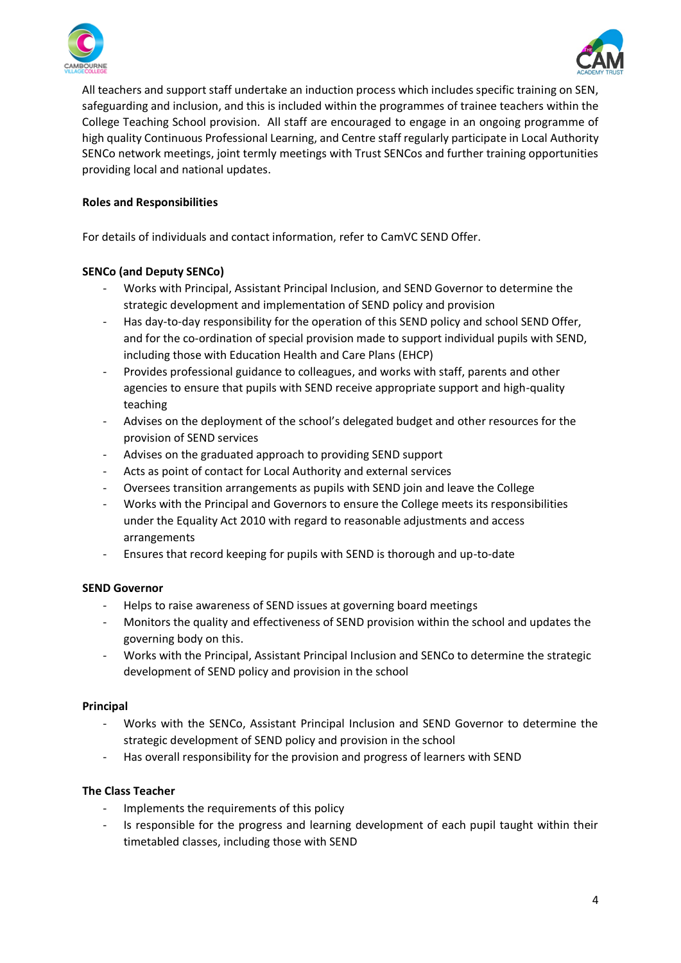



All teachers and support staff undertake an induction process which includes specific training on SEN, safeguarding and inclusion, and this is included within the programmes of trainee teachers within the College Teaching School provision. All staff are encouraged to engage in an ongoing programme of high quality Continuous Professional Learning, and Centre staff regularly participate in Local Authority SENCo network meetings, joint termly meetings with Trust SENCos and further training opportunities providing local and national updates.

# **Roles and Responsibilities**

For details of individuals and contact information, refer to CamVC SEND Offer.

# **SENCo (and Deputy SENCo)**

- Works with Principal, Assistant Principal Inclusion, and SEND Governor to determine the strategic development and implementation of SEND policy and provision
- Has day-to-day responsibility for the operation of this SEND policy and school SEND Offer, and for the co-ordination of special provision made to support individual pupils with SEND, including those with Education Health and Care Plans (EHCP)
- Provides professional guidance to colleagues, and works with staff, parents and other agencies to ensure that pupils with SEND receive appropriate support and high-quality teaching
- Advises on the deployment of the school's delegated budget and other resources for the provision of SEND services
- Advises on the graduated approach to providing SEND support
- Acts as point of contact for Local Authority and external services
- Oversees transition arrangements as pupils with SEND join and leave the College
- Works with the Principal and Governors to ensure the College meets its responsibilities under the Equality Act 2010 with regard to reasonable adjustments and access arrangements
- Ensures that record keeping for pupils with SEND is thorough and up-to-date

#### **SEND Governor**

- Helps to raise awareness of SEND issues at governing board meetings
- Monitors the quality and effectiveness of SEND provision within the school and updates the governing body on this.
- Works with the Principal, Assistant Principal Inclusion and SENCo to determine the strategic development of SEND policy and provision in the school

#### **Principal**

- Works with the SENCo, Assistant Principal Inclusion and SEND Governor to determine the strategic development of SEND policy and provision in the school
- Has overall responsibility for the provision and progress of learners with SEND

# **The Class Teacher**

- Implements the requirements of this policy
- Is responsible for the progress and learning development of each pupil taught within their timetabled classes, including those with SEND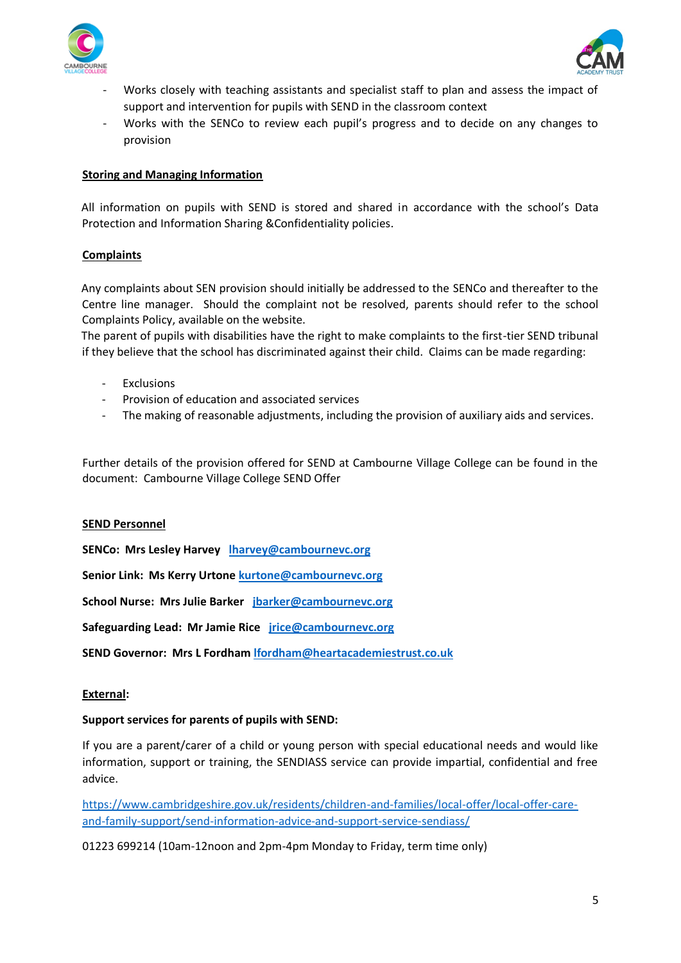



- Works closely with teaching assistants and specialist staff to plan and assess the impact of support and intervention for pupils with SEND in the classroom context
- Works with the SENCo to review each pupil's progress and to decide on any changes to provision

### **Storing and Managing Information**

All information on pupils with SEND is stored and shared in accordance with the school's Data Protection and Information Sharing &Confidentiality policies.

### **Complaints**

Any complaints about SEN provision should initially be addressed to the SENCo and thereafter to the Centre line manager. Should the complaint not be resolved, parents should refer to the school Complaints Policy, available on the website.

The parent of pupils with disabilities have the right to make complaints to the first-tier SEND tribunal if they believe that the school has discriminated against their child. Claims can be made regarding:

- **Exclusions**
- Provision of education and associated services
- The making of reasonable adjustments, including the provision of auxiliary aids and services.

Further details of the provision offered for SEND at Cambourne Village College can be found in the document: Cambourne Village College SEND Offer

#### **SEND Personnel**

**SENCo: Mrs Lesley Harvey [lharvey@cambournevc.org](mailto:lharvey@cambournevc.org)**

**Senior Link: Ms Kerry Urton[e kurtone@cambournevc.org](mailto:kurtone@cambournevc.org)**

**School Nurse: Mrs Julie Barker [jbarker@cambournevc.org](mailto:jbarker@cambournevc.org)**

**Safeguarding Lead: Mr Jamie Rice [jrice@cambournevc.org](mailto:jrice@cambournevc.org)**

**SEND Governor: Mrs L Fordham [lfordham@heartacademiestrust.co.uk](mailto:lfordham@heartacademiestrust.co.uk)**

#### **External:**

#### **Support services for parents of pupils with SEND:**

If you are a parent/carer of a child or young person with special educational needs and would like information, support or training, the SENDIASS service can provide impartial, confidential and free advice.

[https://www.cambridgeshire.gov.uk/residents/children-and-families/local-offer/local-offer-care](https://www.cambridgeshire.gov.uk/residents/children-and-families/local-offer/local-offer-care-and-family-support/send-information-advice-and-support-service-sendiass/)[and-family-support/send-information-advice-and-support-service-sendiass/](https://www.cambridgeshire.gov.uk/residents/children-and-families/local-offer/local-offer-care-and-family-support/send-information-advice-and-support-service-sendiass/)

01223 699214 (10am-12noon and 2pm-4pm Monday to Friday, term time only)